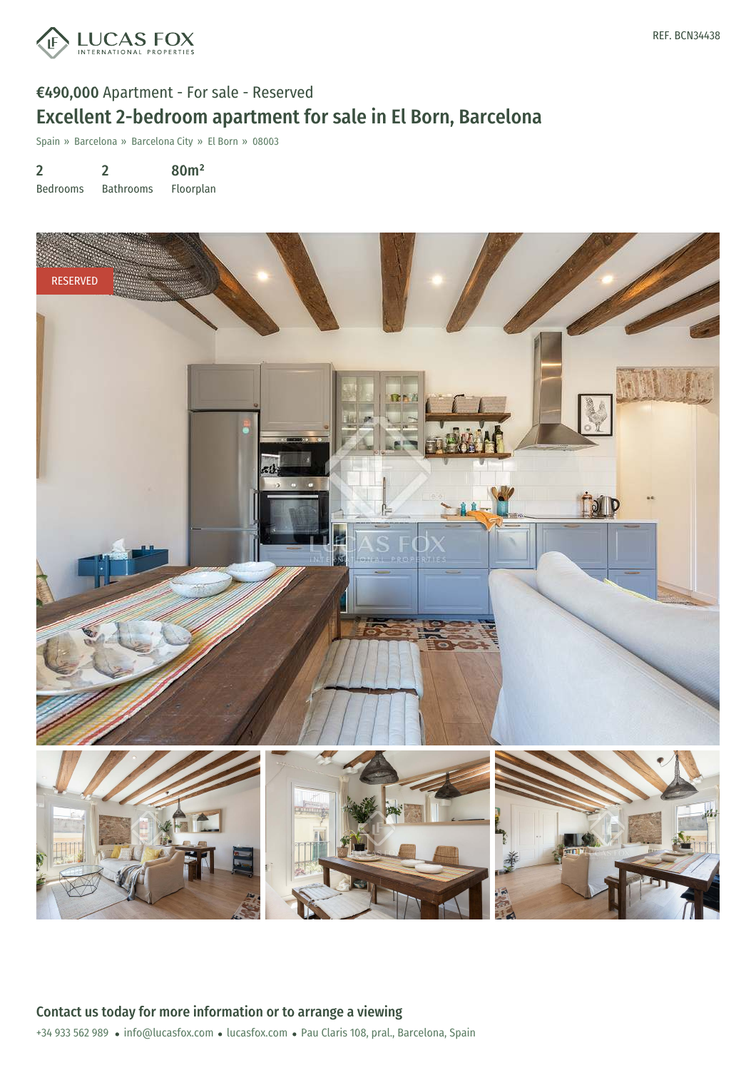

# €490,000 Apartment - For sale - Reserved Excellent 2-bedroom apartment for sale in El Born, Barcelona

Spain » Barcelona » Barcelona City » El Born » 08003

2 Bedrooms 2 Bathrooms 80m² Floorplan

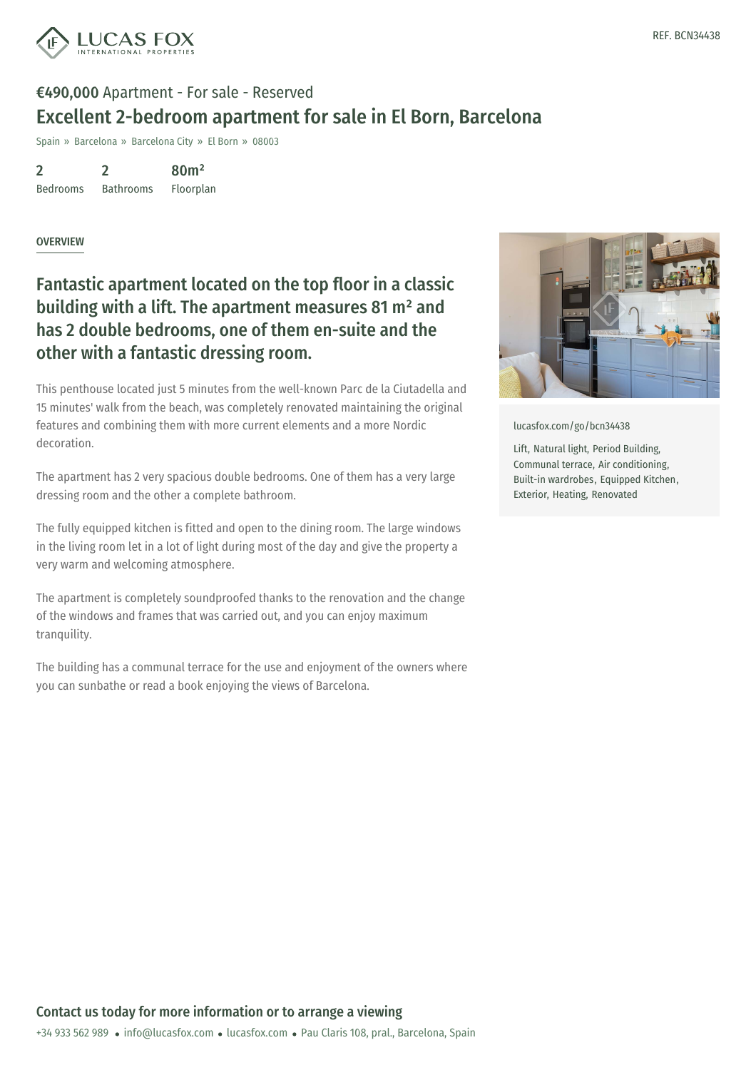

# €490,000 Apartment - For sale - Reserved Excellent 2-bedroom apartment for sale in El Born, Barcelona

Spain » Barcelona » Barcelona City » El Born » 08003

2 Bedrooms 2 Bathrooms 80m² Floorplan

#### OVERVIEW

### Fantastic apartment located on the top floor in a classic building with a lift. The apartment measures 81 m² and has 2 double bedrooms, one of them en-suite and the other with a fantastic dressing room.

This penthouse located just 5 minutes from the well-known Parc de la Ciutadella and 15 minutes' walk from the beach, was completely renovated maintaining the original features and combining them with more current elements and a more Nordic decoration.

The apartment has 2 very spacious double bedrooms. One of them has a very large dressing room and the other a complete bathroom.

The fully equipped kitchen is fitted and open to the dining room. The large windows in the living room let in a lot of light during most of the day and give the property a very warm and welcoming atmosphere.

The apartment is completely soundproofed thanks to the renovation and the change of the windows and frames that was carried out, and you can enjoy maximum tranquility.

The building has a communal terrace for the use and enjoyment of the owners where you can sunbathe or read a book enjoying the views of Barcelona.



[lucasfox.com/go/bcn34438](https://www.lucasfox.com/go/bcn34438)

Lift, Natural light, Period Building, Communal terrace, Air conditioning, Built-in wardrobes, Equipped Kitchen, Exterior, Heating, Renovated